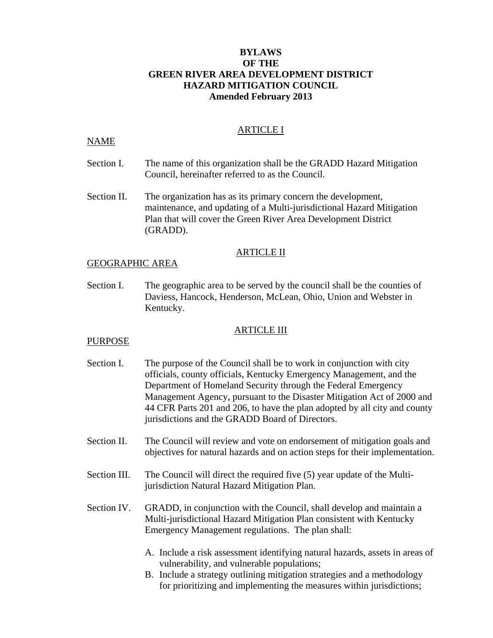## **BYLAWS OF THE GREEN RIVER AREA DEVELOPMENT DISTRICT HAZARD MITIGATION COUNCIL Amended February 2013**

#### ARTICLE I

#### NAME

- Section I. The name of this organization shall be the GRADD Hazard Mitigation Council, hereinafter referred to as the Council.
- Section II. The organization has as its primary concern the development, maintenance, and updating of a Multi-jurisdictional Hazard Mitigation Plan that will cover the Green River Area Development District (GRADD).

#### ARTICLE II

#### GEOGRAPHIC AREA

Section I. The geographic area to be served by the council shall be the counties of Daviess, Hancock, Henderson, McLean, Ohio, Union and Webster in Kentucky.

#### ARTICLE III

#### PURPOSE

- Section I. The purpose of the Council shall be to work in conjunction with city officials, county officials, Kentucky Emergency Management, and the Department of Homeland Security through the Federal Emergency Management Agency, pursuant to the Disaster Mitigation Act of 2000 and 44 CFR Parts 201 and 206, to have the plan adopted by all city and county jurisdictions and the GRADD Board of Directors.
- Section II. The Council will review and vote on endorsement of mitigation goals and objectives for natural hazards and on action steps for their implementation.
- Section III. The Council will direct the required five (5) year update of the Multijurisdiction Natural Hazard Mitigation Plan.
- Section IV. GRADD, in conjunction with the Council, shall develop and maintain a Multi-jurisdictional Hazard Mitigation Plan consistent with Kentucky Emergency Management regulations. The plan shall:
	- A. Include a risk assessment identifying natural hazards, assets in areas of vulnerability, and vulnerable populations;
	- B. Include a strategy outlining mitigation strategies and a methodology for prioritizing and implementing the measures within jurisdictions;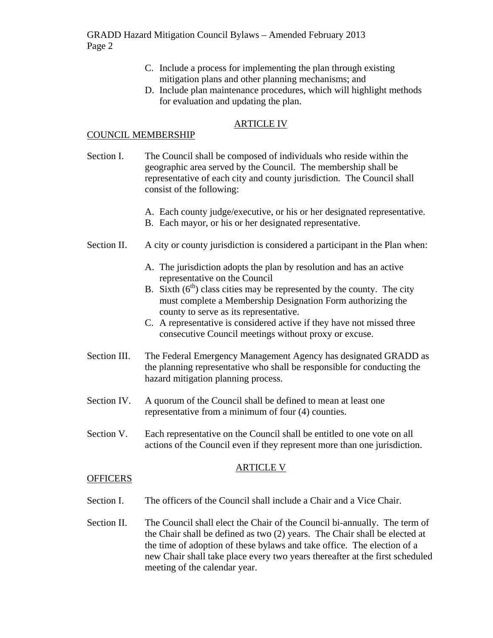- C. Include a process for implementing the plan through existing mitigation plans and other planning mechanisms; and
- D. Include plan maintenance procedures, which will highlight methods for evaluation and updating the plan.

# ARTICLE IV

#### COUNCIL MEMBERSHIP

- Section I. The Council shall be composed of individuals who reside within the geographic area served by the Council. The membership shall be representative of each city and county jurisdiction. The Council shall consist of the following:
	- A. Each county judge/executive, or his or her designated representative.
	- B. Each mayor, or his or her designated representative.
- Section II. A city or county jurisdiction is considered a participant in the Plan when:
	- A. The jurisdiction adopts the plan by resolution and has an active representative on the Council
	- B. Sixth  $(6<sup>th</sup>)$  class cities may be represented by the county. The city must complete a Membership Designation Form authorizing the county to serve as its representative.
	- C. A representative is considered active if they have not missed three consecutive Council meetings without proxy or excuse.
- Section III. The Federal Emergency Management Agency has designated GRADD as the planning representative who shall be responsible for conducting the hazard mitigation planning process.
- Section IV. A quorum of the Council shall be defined to mean at least one representative from a minimum of four (4) counties.
- Section V. Each representative on the Council shall be entitled to one vote on all actions of the Council even if they represent more than one jurisdiction.

### ARTICLE V

#### **OFFICERS**

- Section I. The officers of the Council shall include a Chair and a Vice Chair.
- Section II. The Council shall elect the Chair of the Council bi-annually. The term of the Chair shall be defined as two (2) years. The Chair shall be elected at the time of adoption of these bylaws and take office. The election of a new Chair shall take place every two years thereafter at the first scheduled meeting of the calendar year.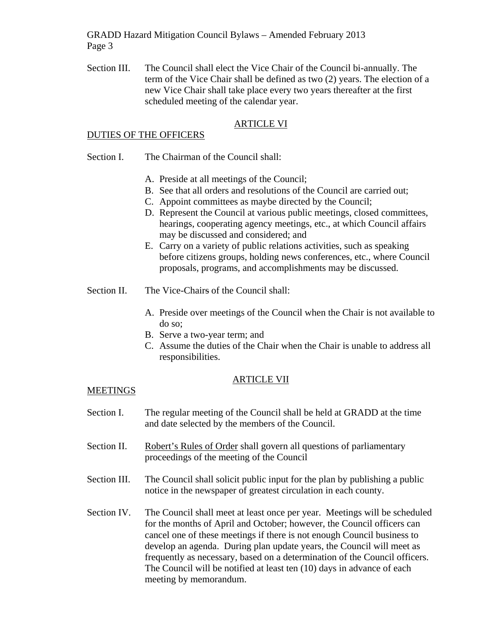GRADD Hazard Mitigation Council Bylaws – Amended February 2013 Page 3

Section III. The Council shall elect the Vice Chair of the Council bi-annually. The term of the Vice Chair shall be defined as two (2) years. The election of a new Vice Chair shall take place every two years thereafter at the first scheduled meeting of the calendar year.

## ARTICLE VI

#### DUTIES OF THE OFFICERS

- Section I. The Chairman of the Council shall:
	- A. Preside at all meetings of the Council;
	- B. See that all orders and resolutions of the Council are carried out;
	- C. Appoint committees as maybe directed by the Council;
	- D. Represent the Council at various public meetings, closed committees, hearings, cooperating agency meetings, etc., at which Council affairs may be discussed and considered; and
	- E. Carry on a variety of public relations activities, such as speaking before citizens groups, holding news conferences, etc., where Council proposals, programs, and accomplishments may be discussed.
- Section II. The Vice-Chairs of the Council shall:
	- A. Preside over meetings of the Council when the Chair is not available to do so;
	- B. Serve a two-year term; and
	- C. Assume the duties of the Chair when the Chair is unable to address all responsibilities.

### ARTICLE VII

### **MEETINGS**

- Section I. The regular meeting of the Council shall be held at GRADD at the time and date selected by the members of the Council.
- Section II. Robert's Rules of Order shall govern all questions of parliamentary proceedings of the meeting of the Council
- Section III. The Council shall solicit public input for the plan by publishing a public notice in the newspaper of greatest circulation in each county.
- Section IV. The Council shall meet at least once per year. Meetings will be scheduled for the months of April and October; however, the Council officers can cancel one of these meetings if there is not enough Council business to develop an agenda. During plan update years, the Council will meet as frequently as necessary, based on a determination of the Council officers. The Council will be notified at least ten (10) days in advance of each meeting by memorandum.